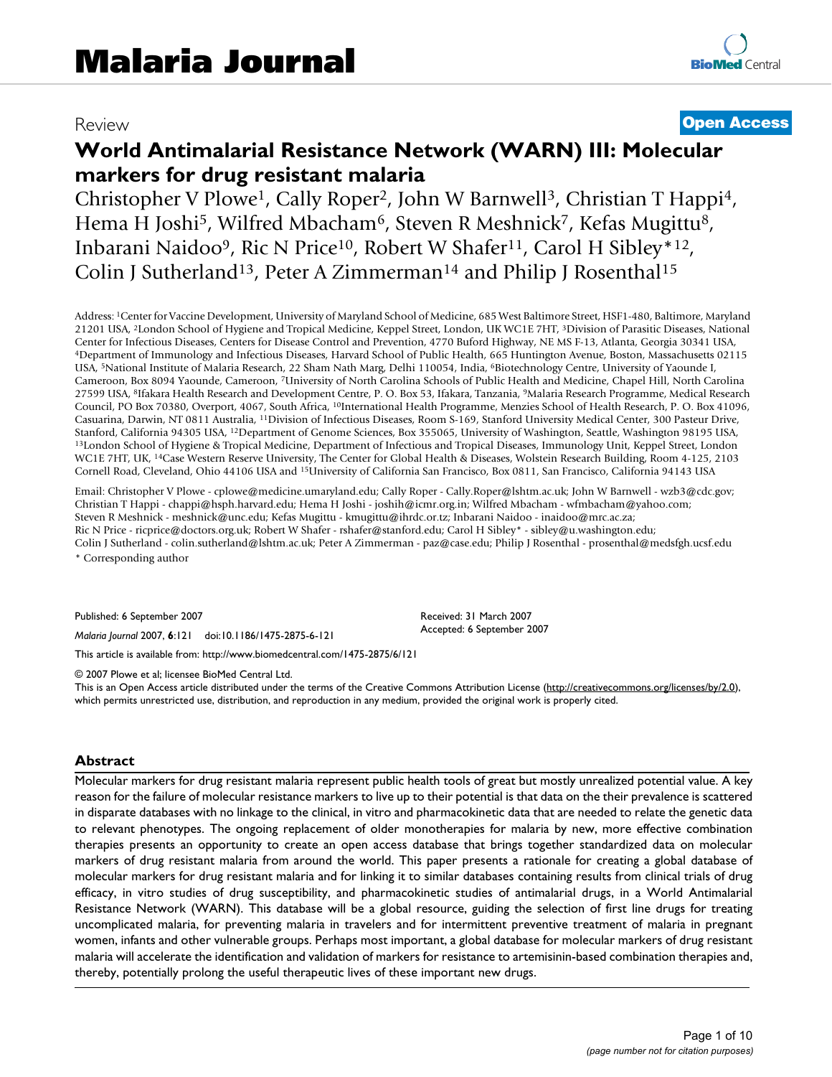# Review **[Open Access](http://www.biomedcentral.com/info/about/charter/)**

# **World Antimalarial Resistance Network (WARN) III: Molecular markers for drug resistant malaria**

Christopher V Plowe1, Cally Roper2, John W Barnwell3, Christian T Happi4, Hema H Joshi<sup>5</sup>, Wilfred Mbacham<sup>6</sup>, Steven R Meshnick<sup>7</sup>, Kefas Mugittu<sup>8</sup>, Inbarani Naidoo9, Ric N Price10, Robert W Shafer11, Carol H Sibley\*12, Colin J Sutherland<sup>13</sup>, Peter A Zimmerman<sup>14</sup> and Philip J Rosenthal<sup>15</sup>

Address: 1Center for Vaccine Development, University of Maryland School of Medicine, 685 West Baltimore Street, HSF1-480, Baltimore, Maryland 21201 USA, <sup>2</sup>London School of Hygiene and Tropical Medicine, Keppel Street, London, UK WC1E 7HT, <sup>3</sup>Division of Parasitic Diseases, National Center for Infectious Diseases, Centers for Disease Control and Prevention, 4770 <sup>4</sup>Department of Immunology and Infectious Diseases, Harvard School of Public Health, 665 Huntington Avenue, Boston, Massachusetts 02115 USA, 5National Institute of Malaria Research, 22 Sham Nath Marg, Delhi 110054, India, 6Biotechnology Centre, University of Yaounde I, Cameroon, Box 8094 Yaounde, Cameroon, 7University of North Carolina Schools of Public Health and Medicine, Chapel Hill, North Carolina 27599 USA, <sup>8</sup>Ifakara Health Research and Development Centre, P. O. Box 53, Ifakara, Tanzania, <sup>9</sup>Malaria Research Programme, Medical Research Council, PO Box 70380, Overport, 4067, South Africa, 10International Health Programme, Menzies School of Health Research, P. O. Box 41096, Casuarina, Darwin, NT 0811 Australia, 11Division of Infectious Diseases, Room S-169, Stanford University Medical Center, 300 Pasteur Drive, Stanford, California 94305 USA, <sup>12</sup>Department of Genome Sciences, Box 355065, University of Washington, Seattle, Washington 98195 USA, <sup>13</sup>London School of Hygiene & Tropical Medicine, Department of Infectious and Tropica WC1E 7HT, UK, 14Case Western Reserve University, The Center for Global Health & Diseases, Wolstein Research Building, Room 4-125, 2103 Cornell Road, Cleveland, Ohio 44106 USA and 15University of California San Francisco, Box 0811, San Francisco, California 94143 USA

Email: Christopher V Plowe - cplowe@medicine.umaryland.edu; Cally Roper - Cally.Roper@lshtm.ac.uk; John W Barnwell - wzb3@cdc.gov; Christian T Happi - chappi@hsph.harvard.edu; Hema H Joshi - joshih@icmr.org.in; Wilfred Mbacham - wfmbacham@yahoo.com; Steven R Meshnick - meshnick@unc.edu; Kefas Mugittu - kmugittu@ihrdc.or.tz; Inbarani Naidoo - inaidoo@mrc.ac.za; Ric N Price - ricprice@doctors.org.uk; Robert W Shafer - rshafer@stanford.edu; Carol H Sibley\* - sibley@u.washington.edu; Colin J Sutherland - colin.sutherland@lshtm.ac.uk; Peter A Zimmerman - paz@case.edu; Philip J Rosenthal - prosenthal@medsfgh.ucsf.edu \* Corresponding author

Published: 6 September 2007

*Malaria Journal* 2007, **6**:121 doi:10.1186/1475-2875-6-121

[This article is available from: http://www.biomedcentral.com/1475-2875/6/121](http://www.biomedcentral.com/1475-2875/6/121)

© 2007 Plowe et al; licensee BioMed Central Ltd.

This is an Open Access article distributed under the terms of the Creative Commons Attribution License [\(http://creativecommons.org/licenses/by/2.0\)](http://creativecommons.org/licenses/by/2.0), which permits unrestricted use, distribution, and reproduction in any medium, provided the original work is properly cited.

Received: 31 March 2007 Accepted: 6 September 2007

#### **Abstract**

Molecular markers for drug resistant malaria represent public health tools of great but mostly unrealized potential value. A key reason for the failure of molecular resistance markers to live up to their potential is that data on the their prevalence is scattered in disparate databases with no linkage to the clinical, in vitro and pharmacokinetic data that are needed to relate the genetic data to relevant phenotypes. The ongoing replacement of older monotherapies for malaria by new, more effective combination therapies presents an opportunity to create an open access database that brings together standardized data on molecular markers of drug resistant malaria from around the world. This paper presents a rationale for creating a global database of molecular markers for drug resistant malaria and for linking it to similar databases containing results from clinical trials of drug efficacy, in vitro studies of drug susceptibility, and pharmacokinetic studies of antimalarial drugs, in a World Antimalarial Resistance Network (WARN). This database will be a global resource, guiding the selection of first line drugs for treating uncomplicated malaria, for preventing malaria in travelers and for intermittent preventive treatment of malaria in pregnant women, infants and other vulnerable groups. Perhaps most important, a global database for molecular markers of drug resistant malaria will accelerate the identification and validation of markers for resistance to artemisinin-based combination therapies and, thereby, potentially prolong the useful therapeutic lives of these important new drugs.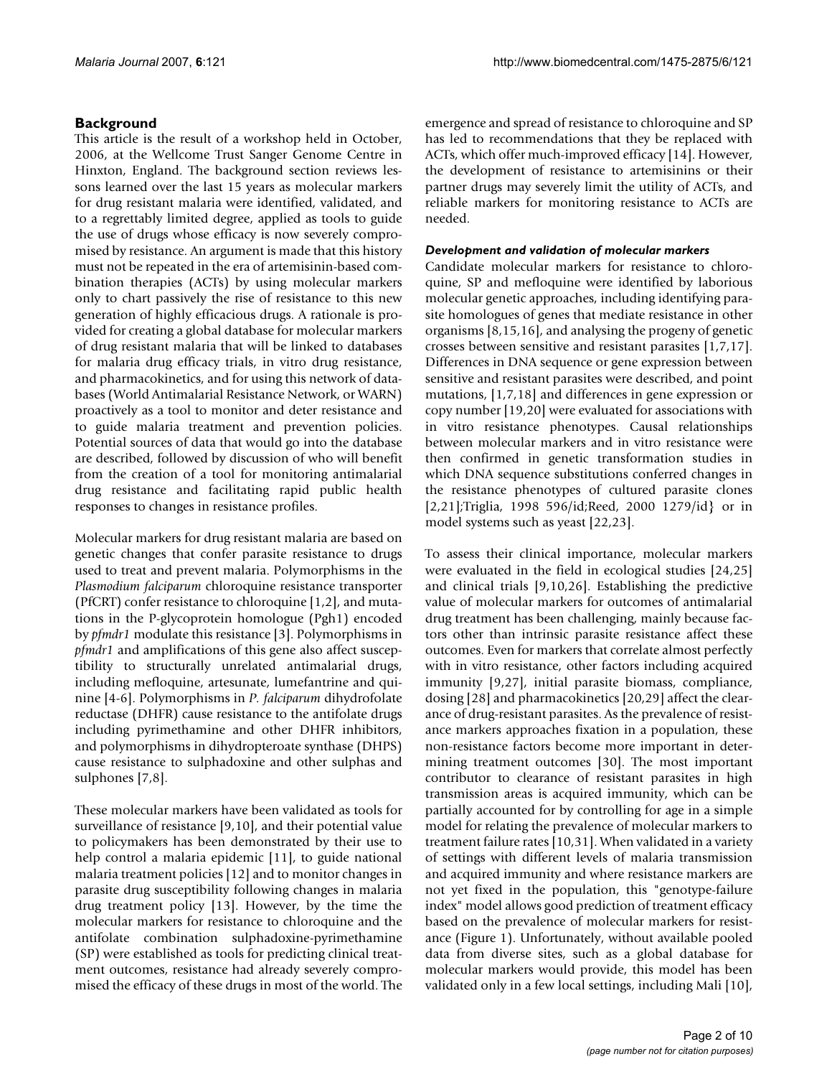# **Background**

This article is the result of a workshop held in October, 2006, at the Wellcome Trust Sanger Genome Centre in Hinxton, England. The background section reviews lessons learned over the last 15 years as molecular markers for drug resistant malaria were identified, validated, and to a regrettably limited degree, applied as tools to guide the use of drugs whose efficacy is now severely compromised by resistance. An argument is made that this history must not be repeated in the era of artemisinin-based combination therapies (ACTs) by using molecular markers only to chart passively the rise of resistance to this new generation of highly efficacious drugs. A rationale is provided for creating a global database for molecular markers of drug resistant malaria that will be linked to databases for malaria drug efficacy trials, in vitro drug resistance, and pharmacokinetics, and for using this network of databases (World Antimalarial Resistance Network, or WARN) proactively as a tool to monitor and deter resistance and to guide malaria treatment and prevention policies. Potential sources of data that would go into the database are described, followed by discussion of who will benefit from the creation of a tool for monitoring antimalarial drug resistance and facilitating rapid public health responses to changes in resistance profiles.

Molecular markers for drug resistant malaria are based on genetic changes that confer parasite resistance to drugs used to treat and prevent malaria. Polymorphisms in the *Plasmodium falciparum* chloroquine resistance transporter (PfCRT) confer resistance to chloroquine [1,2], and mutations in the P-glycoprotein homologue (Pgh1) encoded by *pfmdr1* modulate this resistance [3]. Polymorphisms in *pfmdr1* and amplifications of this gene also affect susceptibility to structurally unrelated antimalarial drugs, including mefloquine, artesunate, lumefantrine and quinine [4-6]. Polymorphisms in *P. falciparum* dihydrofolate reductase (DHFR) cause resistance to the antifolate drugs including pyrimethamine and other DHFR inhibitors, and polymorphisms in dihydropteroate synthase (DHPS) cause resistance to sulphadoxine and other sulphas and sulphones [7,8].

These molecular markers have been validated as tools for surveillance of resistance [9,10], and their potential value to policymakers has been demonstrated by their use to help control a malaria epidemic [11], to guide national malaria treatment policies [[12\]](#page-7-0) and to monitor changes in parasite drug susceptibility following changes in malaria drug treatment policy [13]. However, by the time the molecular markers for resistance to chloroquine and the antifolate combination sulphadoxine-pyrimethamine (SP) were established as tools for predicting clinical treatment outcomes, resistance had already severely compromised the efficacy of these drugs in most of the world. The emergence and spread of resistance to chloroquine and SP has led to recommendations that they be replaced with ACTs, which offer much-improved efficacy [14]. However, the development of resistance to artemisinins or their partner drugs may severely limit the utility of ACTs, and reliable markers for monitoring resistance to ACTs are needed.

## *Development and validation of molecular markers*

Candidate molecular markers for resistance to chloroquine, SP and mefloquine were identified by laborious molecular genetic approaches, including identifying parasite homologues of genes that mediate resistance in other organisms [8,15,16], and analysing the progeny of genetic crosses between sensitive and resistant parasites [1,7,17]. Differences in DNA sequence or gene expression between sensitive and resistant parasites were described, and point mutations, [1,7,18] and differences in gene expression or copy number [19,20] were evaluated for associations with in vitro resistance phenotypes. Causal relationships between molecular markers and in vitro resistance were then confirmed in genetic transformation studies in which DNA sequence substitutions conferred changes in the resistance phenotypes of cultured parasite clones [2,21];Triglia, 1998 596/id;Reed, 2000 1279/id} or in model systems such as yeast [22,23].

To assess their clinical importance, molecular markers were evaluated in the field in ecological studies [\[24](#page-8-0),25] and clinical trials [9,10,26]. Establishing the predictive value of molecular markers for outcomes of antimalarial drug treatment has been challenging, mainly because factors other than intrinsic parasite resistance affect these outcomes. Even for markers that correlate almost perfectly with in vitro resistance, other factors including acquired immunity [9[,27](#page-8-1)], initial parasite biomass, compliance, dosing [28] and pharmacokinetics [20,[29\]](#page-8-2) affect the clearance of drug-resistant parasites. As the prevalence of resistance markers approaches fixation in a population, these non-resistance factors become more important in determining treatment outcomes [30]. The most important contributor to clearance of resistant parasites in high transmission areas is acquired immunity, which can be partially accounted for by controlling for age in a simple model for relating the prevalence of molecular markers to treatment failure rates [10,[31\]](#page-8-3). When validated in a variety of settings with different levels of malaria transmission and acquired immunity and where resistance markers are not yet fixed in the population, this "genotype-failure index" model allows good prediction of treatment efficacy based on the prevalence of molecular markers for resistance (Figure 1). Unfortunately, without available pooled data from diverse sites, such as a global database for molecular markers would provide, this model has been validated only in a few local settings, including Mali [10],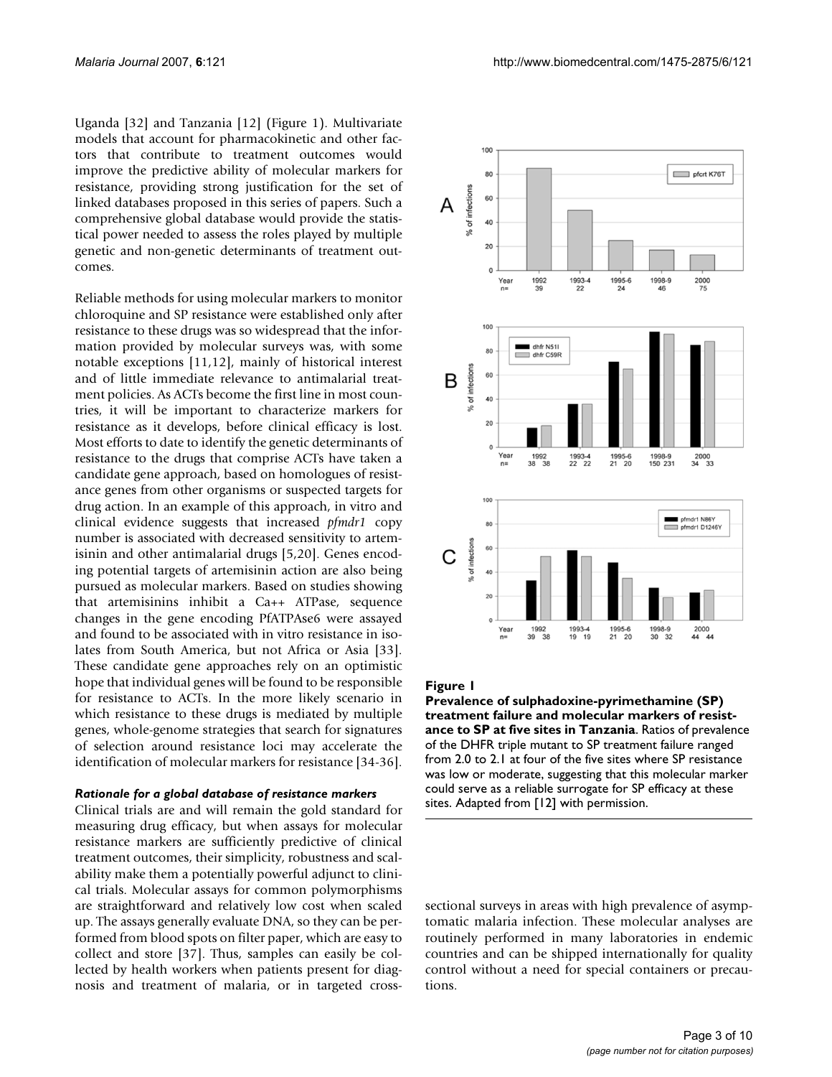Uganda [32] and Tanzania [[12\]](#page-7-0) (Figure 1). Multivariate models that account for pharmacokinetic and other factors that contribute to treatment outcomes would improve the predictive ability of molecular markers for resistance, providing strong justification for the set of linked databases proposed in this series of papers. Such a comprehensive global database would provide the statistical power needed to assess the roles played by multiple genetic and non-genetic determinants of treatment outcomes.

Reliable methods for using molecular markers to monitor chloroquine and SP resistance were established only after resistance to these drugs was so widespread that the information provided by molecular surveys was, with some notable exceptions [11,[12\]](#page-7-0), mainly of historical interest and of little immediate relevance to antimalarial treatment policies. As ACTs become the first line in most countries, it will be important to characterize markers for resistance as it develops, before clinical efficacy is lost. Most efforts to date to identify the genetic determinants of resistance to the drugs that comprise ACTs have taken a candidate gene approach, based on homologues of resistance genes from other organisms or suspected targets for drug action. In an example of this approach, in vitro and clinical evidence suggests that increased *pfmdr1* copy number is associated with decreased sensitivity to artemisinin and other antimalarial drugs [5,20]. Genes encoding potential targets of artemisinin action are also being pursued as molecular markers. Based on studies showing that artemisinins inhibit a Ca++ ATPase, sequence changes in the gene encoding PfATPAse6 were assayed and found to be associated with in vitro resistance in isolates from South America, but not Africa or Asia [33]. These candidate gene approaches rely on an optimistic hope that individual genes will be found to be responsible for resistance to ACTs. In the more likely scenario in which resistance to these drugs is mediated by multiple genes, whole-genome strategies that search for signatures of selection around resistance loci may accelerate the identification of molecular markers for resistance [34-36].

#### *Rationale for a global database of resistance markers*

Clinical trials are and will remain the gold standard for measuring drug efficacy, but when assays for molecular resistance markers are sufficiently predictive of clinical treatment outcomes, their simplicity, robustness and scalability make them a potentially powerful adjunct to clinical trials. Molecular assays for common polymorphisms are straightforward and relatively low cost when scaled up. The assays generally evaluate DNA, so they can be performed from blood spots on filter paper, which are easy to collect and store [\[37](#page-8-4)]. Thus, samples can easily be collected by health workers when patients present for diagnosis and treatment of malaria, or in targeted cross-



#### Figure 1

**Prevalence of sulphadoxine-pyrimethamine (SP) treatment failure and molecular markers of resistance to SP at five sites in Tanzania**. Ratios of prevalence of the DHFR triple mutant to SP treatment failure ranged from 2.0 to 2.1 at four of the five sites where SP resistance was low or moderate, suggesting that this molecular marker could serve as a reliable surrogate for SP efficacy at these sites. Adapted from [12] with permission.

sectional surveys in areas with high prevalence of asymptomatic malaria infection. These molecular analyses are routinely performed in many laboratories in endemic countries and can be shipped internationally for quality control without a need for special containers or precautions.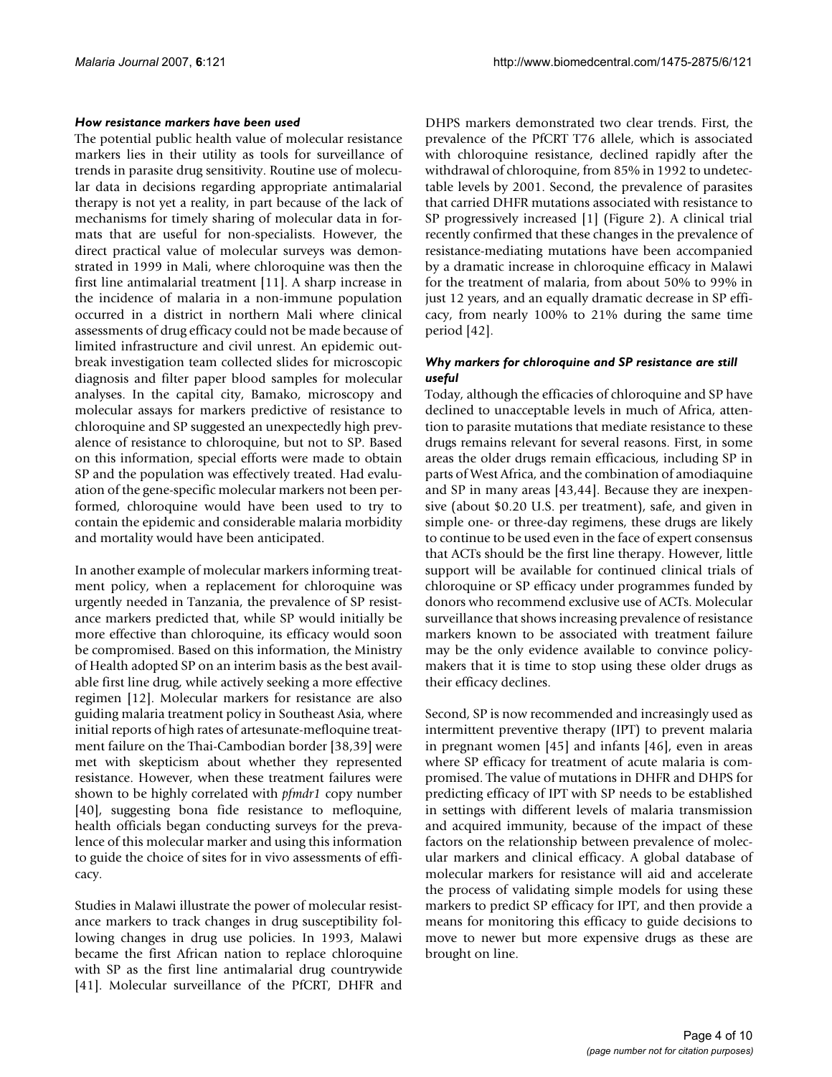#### *How resistance markers have been used*

The potential public health value of molecular resistance markers lies in their utility as tools for surveillance of trends in parasite drug sensitivity. Routine use of molecular data in decisions regarding appropriate antimalarial therapy is not yet a reality, in part because of the lack of mechanisms for timely sharing of molecular data in formats that are useful for non-specialists. However, the direct practical value of molecular surveys was demonstrated in 1999 in Mali, where chloroquine was then the first line antimalarial treatment [11]. A sharp increase in the incidence of malaria in a non-immune population occurred in a district in northern Mali where clinical assessments of drug efficacy could not be made because of limited infrastructure and civil unrest. An epidemic outbreak investigation team collected slides for microscopic diagnosis and filter paper blood samples for molecular analyses. In the capital city, Bamako, microscopy and molecular assays for markers predictive of resistance to chloroquine and SP suggested an unexpectedly high prevalence of resistance to chloroquine, but not to SP. Based on this information, special efforts were made to obtain SP and the population was effectively treated. Had evaluation of the gene-specific molecular markers not been performed, chloroquine would have been used to try to contain the epidemic and considerable malaria morbidity and mortality would have been anticipated.

In another example of molecular markers informing treatment policy, when a replacement for chloroquine was urgently needed in Tanzania, the prevalence of SP resistance markers predicted that, while SP would initially be more effective than chloroquine, its efficacy would soon be compromised. Based on this information, the Ministry of Health adopted SP on an interim basis as the best available first line drug, while actively seeking a more effective regimen [\[12\]](#page-7-0). Molecular markers for resistance are also guiding malaria treatment policy in Southeast Asia, where initial reports of high rates of artesunate-mefloquine treatment failure on the Thai-Cambodian border [38,39] were met with skepticism about whether they represented resistance. However, when these treatment failures were shown to be highly correlated with *pfmdr1* copy number [40], suggesting bona fide resistance to mefloquine, health officials began conducting surveys for the prevalence of this molecular marker and using this information to guide the choice of sites for in vivo assessments of efficacy.

Studies in Malawi illustrate the power of molecular resistance markers to track changes in drug susceptibility following changes in drug use policies. In 1993, Malawi became the first African nation to replace chloroquine with SP as the first line antimalarial drug countrywide [41]. Molecular surveillance of the PfCRT, DHFR and

DHPS markers demonstrated two clear trends. First, the prevalence of the PfCRT T76 allele, which is associated with chloroquine resistance, declined rapidly after the withdrawal of chloroquine, from 85% in 1992 to undetectable levels by 2001. Second, the prevalence of parasites that carried DHFR mutations associated with resistance to SP progressively increased [1] (Figure 2). A clinical trial recently confirmed that these changes in the prevalence of resistance-mediating mutations have been accompanied by a dramatic increase in chloroquine efficacy in Malawi for the treatment of malaria, from about 50% to 99% in just 12 years, and an equally dramatic decrease in SP efficacy, from nearly 100% to 21% during the same time period [42].

#### *Why markers for chloroquine and SP resistance are still useful*

Today, although the efficacies of chloroquine and SP have declined to unacceptable levels in much of Africa, attention to parasite mutations that mediate resistance to these drugs remains relevant for several reasons. First, in some areas the older drugs remain efficacious, including SP in parts of West Africa, and the combination of amodiaquine and SP in many areas [43,44]. Because they are inexpensive (about \$0.20 U.S. per treatment), safe, and given in simple one- or three-day regimens, these drugs are likely to continue to be used even in the face of expert consensus that ACTs should be the first line therapy. However, little support will be available for continued clinical trials of chloroquine or SP efficacy under programmes funded by donors who recommend exclusive use of ACTs. Molecular surveillance that shows increasing prevalence of resistance markers known to be associated with treatment failure may be the only evidence available to convince policymakers that it is time to stop using these older drugs as their efficacy declines.

Second, SP is now recommended and increasingly used as intermittent preventive therapy (IPT) to prevent malaria in pregnant women [45] and infants [46], even in areas where SP efficacy for treatment of acute malaria is compromised. The value of mutations in DHFR and DHPS for predicting efficacy of IPT with SP needs to be established in settings with different levels of malaria transmission and acquired immunity, because of the impact of these factors on the relationship between prevalence of molecular markers and clinical efficacy. A global database of molecular markers for resistance will aid and accelerate the process of validating simple models for using these markers to predict SP efficacy for IPT, and then provide a means for monitoring this efficacy to guide decisions to move to newer but more expensive drugs as these are brought on line.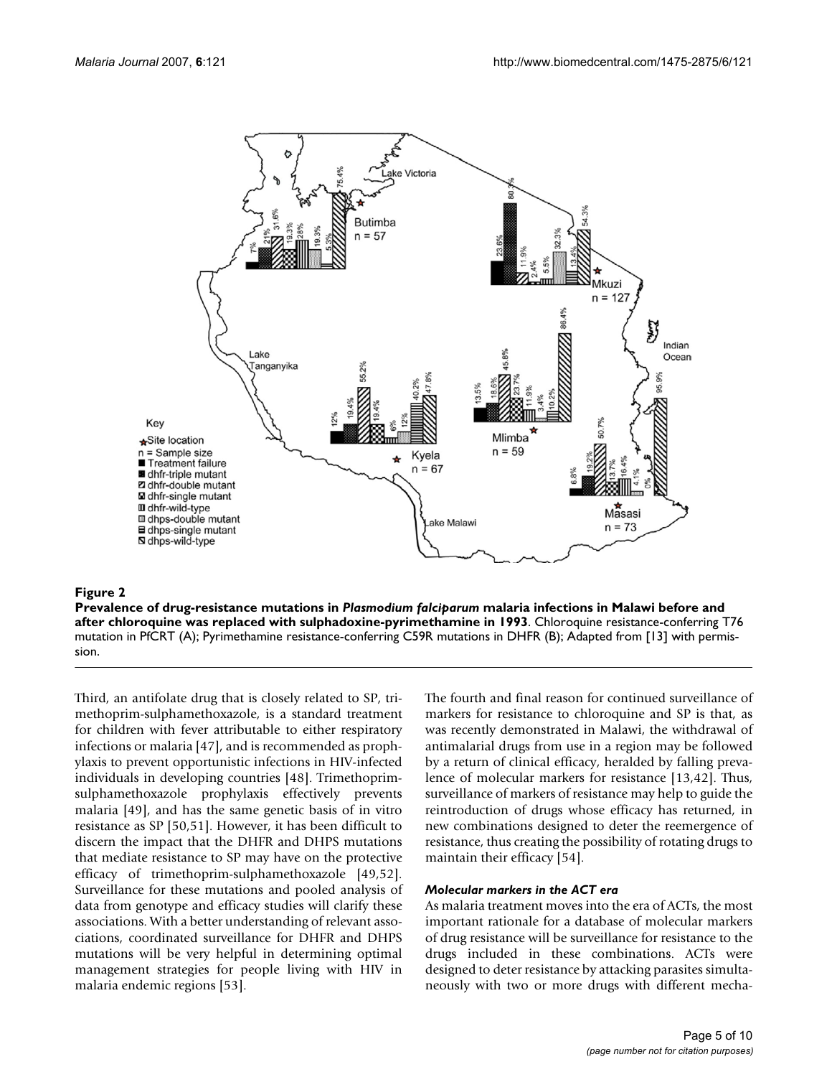

#### replaced with sulphadoxine-pyrimethamine in 1993 **Figure 2** Prevalence of drug-resistance mutations in *Plasmodium falciparum* malaria infections in Malawi before and after chloroquine was

**Prevalence of drug-resistance mutations in** *Plasmodium falciparum* **malaria infections in Malawi before and after chloroquine was replaced with sulphadoxine-pyrimethamine in 1993**. Chloroquine resistance-conferring T76 mutation in PfCRT (A); Pyrimethamine resistance-conferring C59R mutations in DHFR (B); Adapted from [13] with permission.

Third, an antifolate drug that is closely related to SP, trimethoprim-sulphamethoxazole, is a standard treatment for children with fever attributable to either respiratory infections or malaria [47], and is recommended as prophylaxis to prevent opportunistic infections in HIV-infected individuals in developing countries [48]. Trimethoprimsulphamethoxazole prophylaxis effectively prevents malaria [49], and has the same genetic basis of in vitro resistance as SP [50,51]. However, it has been difficult to discern the impact that the DHFR and DHPS mutations that mediate resistance to SP may have on the protective efficacy of trimethoprim-sulphamethoxazole [49,52]. Surveillance for these mutations and pooled analysis of data from genotype and efficacy studies will clarify these associations. With a better understanding of relevant associations, coordinated surveillance for DHFR and DHPS mutations will be very helpful in determining optimal management strategies for people living with HIV in malaria endemic regions [53].

The fourth and final reason for continued surveillance of markers for resistance to chloroquine and SP is that, as was recently demonstrated in Malawi, the withdrawal of antimalarial drugs from use in a region may be followed by a return of clinical efficacy, heralded by falling prevalence of molecular markers for resistance [13,42]. Thus, surveillance of markers of resistance may help to guide the reintroduction of drugs whose efficacy has returned, in new combinations designed to deter the reemergence of resistance, thus creating the possibility of rotating drugs to maintain their efficacy [54].

#### *Molecular markers in the ACT era*

As malaria treatment moves into the era of ACTs, the most important rationale for a database of molecular markers of drug resistance will be surveillance for resistance to the drugs included in these combinations. ACTs were designed to deter resistance by attacking parasites simultaneously with two or more drugs with different mecha-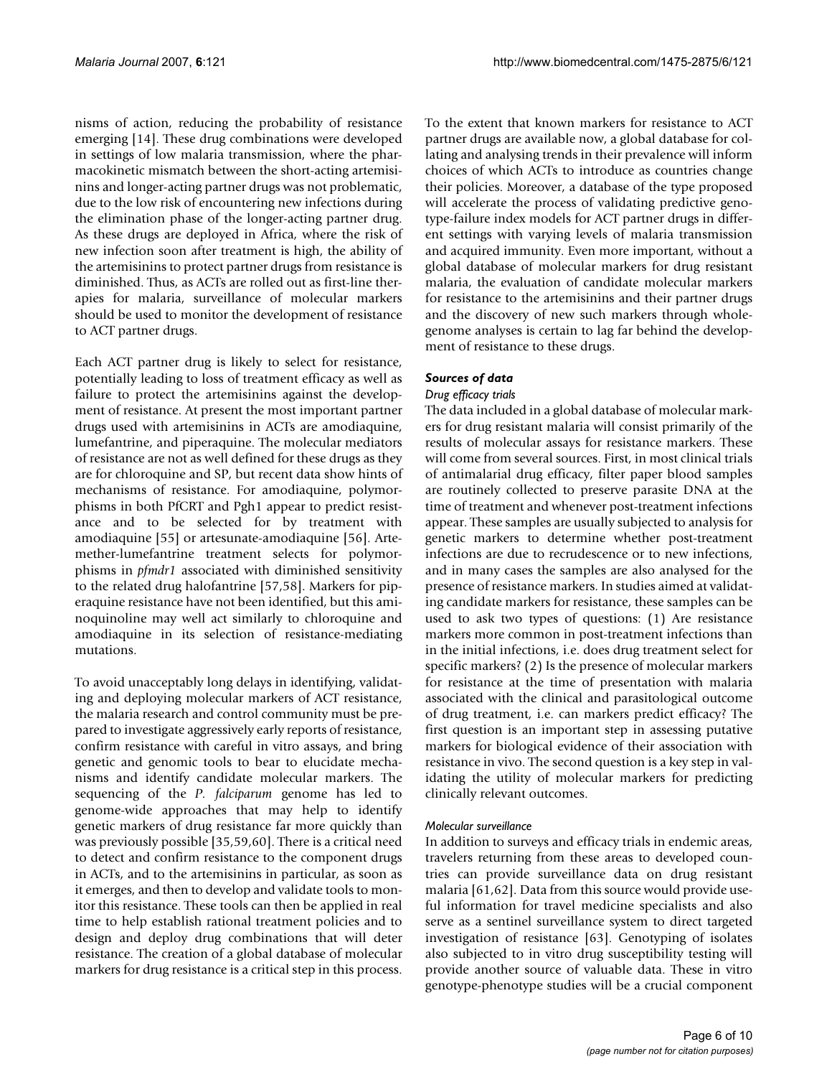nisms of action, reducing the probability of resistance emerging [14]. These drug combinations were developed in settings of low malaria transmission, where the pharmacokinetic mismatch between the short-acting artemisinins and longer-acting partner drugs was not problematic, due to the low risk of encountering new infections during the elimination phase of the longer-acting partner drug. As these drugs are deployed in Africa, where the risk of new infection soon after treatment is high, the ability of the artemisinins to protect partner drugs from resistance is diminished. Thus, as ACTs are rolled out as first-line therapies for malaria, surveillance of molecular markers should be used to monitor the development of resistance to ACT partner drugs.

Each ACT partner drug is likely to select for resistance, potentially leading to loss of treatment efficacy as well as failure to protect the artemisinins against the development of resistance. At present the most important partner drugs used with artemisinins in ACTs are amodiaquine, lumefantrine, and piperaquine. The molecular mediators of resistance are not as well defined for these drugs as they are for chloroquine and SP, but recent data show hints of mechanisms of resistance. For amodiaquine, polymorphisms in both PfCRT and Pgh1 appear to predict resistance and to be selected for by treatment with amodiaquine [[55\]](#page-8-5) or artesunate-amodiaquine [56]. Artemether-lumefantrine treatment selects for polymorphisms in *pfmdr1* associated with diminished sensitivity to the related drug halofantrine [57,58]. Markers for piperaquine resistance have not been identified, but this aminoquinoline may well act similarly to chloroquine and amodiaquine in its selection of resistance-mediating mutations.

To avoid unacceptably long delays in identifying, validating and deploying molecular markers of ACT resistance, the malaria research and control community must be prepared to investigate aggressively early reports of resistance, confirm resistance with careful in vitro assays, and bring genetic and genomic tools to bear to elucidate mechanisms and identify candidate molecular markers. The sequencing of the *P. falciparum* genome has led to genome-wide approaches that may help to identify genetic markers of drug resistance far more quickly than was previously possible [35,59,60]. There is a critical need to detect and confirm resistance to the component drugs in ACTs, and to the artemisinins in particular, as soon as it emerges, and then to develop and validate tools to monitor this resistance. These tools can then be applied in real time to help establish rational treatment policies and to design and deploy drug combinations that will deter resistance. The creation of a global database of molecular markers for drug resistance is a critical step in this process.

To the extent that known markers for resistance to ACT partner drugs are available now, a global database for collating and analysing trends in their prevalence will inform choices of which ACTs to introduce as countries change their policies. Moreover, a database of the type proposed will accelerate the process of validating predictive genotype-failure index models for ACT partner drugs in different settings with varying levels of malaria transmission and acquired immunity. Even more important, without a global database of molecular markers for drug resistant malaria, the evaluation of candidate molecular markers for resistance to the artemisinins and their partner drugs and the discovery of new such markers through wholegenome analyses is certain to lag far behind the development of resistance to these drugs.

# *Sources of data*

#### *Drug efficacy trials*

The data included in a global database of molecular markers for drug resistant malaria will consist primarily of the results of molecular assays for resistance markers. These will come from several sources. First, in most clinical trials of antimalarial drug efficacy, filter paper blood samples are routinely collected to preserve parasite DNA at the time of treatment and whenever post-treatment infections appear. These samples are usually subjected to analysis for genetic markers to determine whether post-treatment infections are due to recrudescence or to new infections, and in many cases the samples are also analysed for the presence of resistance markers. In studies aimed at validating candidate markers for resistance, these samples can be used to ask two types of questions: (1) Are resistance markers more common in post-treatment infections than in the initial infections, i.e. does drug treatment select for specific markers? (2) Is the presence of molecular markers for resistance at the time of presentation with malaria associated with the clinical and parasitological outcome of drug treatment, i.e. can markers predict efficacy? The first question is an important step in assessing putative markers for biological evidence of their association with resistance in vivo. The second question is a key step in validating the utility of molecular markers for predicting clinically relevant outcomes.

#### *Molecular surveillance*

In addition to surveys and efficacy trials in endemic areas, travelers returning from these areas to developed countries can provide surveillance data on drug resistant malaria [61,62]. Data from this source would provide useful information for travel medicine specialists and also serve as a sentinel surveillance system to direct targeted investigation of resistance [63]. Genotyping of isolates also subjected to in vitro drug susceptibility testing will provide another source of valuable data. These in vitro genotype-phenotype studies will be a crucial component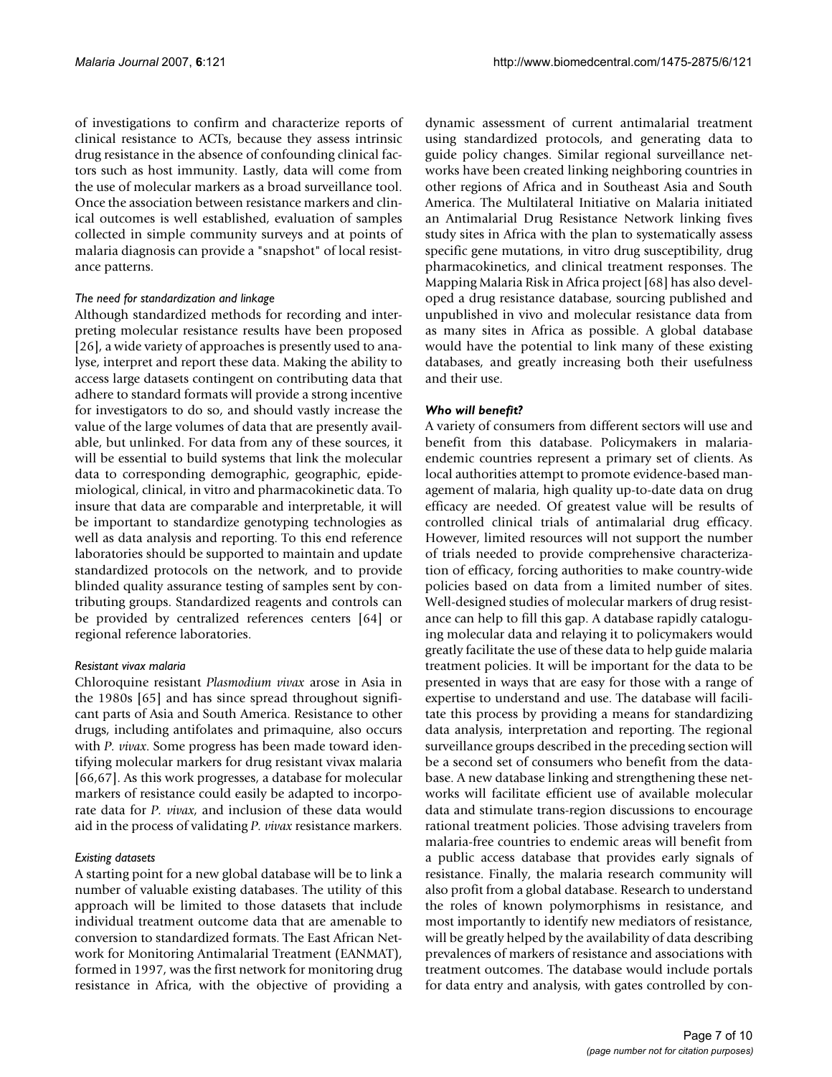of investigations to confirm and characterize reports of clinical resistance to ACTs, because they assess intrinsic drug resistance in the absence of confounding clinical factors such as host immunity. Lastly, data will come from the use of molecular markers as a broad surveillance tool. Once the association between resistance markers and clinical outcomes is well established, evaluation of samples collected in simple community surveys and at points of malaria diagnosis can provide a "snapshot" of local resistance patterns.

#### *The need for standardization and linkage*

Although standardized methods for recording and interpreting molecular resistance results have been proposed [26], a wide variety of approaches is presently used to analyse, interpret and report these data. Making the ability to access large datasets contingent on contributing data that adhere to standard formats will provide a strong incentive for investigators to do so, and should vastly increase the value of the large volumes of data that are presently available, but unlinked. For data from any of these sources, it will be essential to build systems that link the molecular data to corresponding demographic, geographic, epidemiological, clinical, in vitro and pharmacokinetic data. To insure that data are comparable and interpretable, it will be important to standardize genotyping technologies as well as data analysis and reporting. To this end reference laboratories should be supported to maintain and update standardized protocols on the network, and to provide blinded quality assurance testing of samples sent by contributing groups. Standardized reagents and controls can be provided by centralized references centers [64] or regional reference laboratories.

#### *Resistant vivax malaria*

Chloroquine resistant *Plasmodium vivax* arose in Asia in the 1980s [\[65](#page-9-0)] and has since spread throughout significant parts of Asia and South America. Resistance to other drugs, including antifolates and primaquine, also occurs with *P. vivax*. Some progress has been made toward identifying molecular markers for drug resistant vivax malaria [66,[67\]](#page-9-1). As this work progresses, a database for molecular markers of resistance could easily be adapted to incorporate data for *P. vivax*, and inclusion of these data would aid in the process of validating *P. vivax* resistance markers.

#### *Existing datasets*

A starting point for a new global database will be to link a number of valuable existing databases. The utility of this approach will be limited to those datasets that include individual treatment outcome data that are amenable to conversion to standardized formats. The East African Network for Monitoring Antimalarial Treatment (EANMAT), formed in 1997, was the first network for monitoring drug resistance in Africa, with the objective of providing a

dynamic assessment of current antimalarial treatment using standardized protocols, and generating data to guide policy changes. Similar regional surveillance networks have been created linking neighboring countries in other regions of Africa and in Southeast Asia and South America. The Multilateral Initiative on Malaria initiated an Antimalarial Drug Resistance Network linking fives study sites in Africa with the plan to systematically assess specific gene mutations, in vitro drug susceptibility, drug pharmacokinetics, and clinical treatment responses. The Mapping Malaria Risk in Africa project [68] has also developed a drug resistance database, sourcing published and unpublished in vivo and molecular resistance data from as many sites in Africa as possible. A global database would have the potential to link many of these existing databases, and greatly increasing both their usefulness and their use.

### *Who will benefit?*

A variety of consumers from different sectors will use and benefit from this database. Policymakers in malariaendemic countries represent a primary set of clients. As local authorities attempt to promote evidence-based management of malaria, high quality up-to-date data on drug efficacy are needed. Of greatest value will be results of controlled clinical trials of antimalarial drug efficacy. However, limited resources will not support the number of trials needed to provide comprehensive characterization of efficacy, forcing authorities to make country-wide policies based on data from a limited number of sites. Well-designed studies of molecular markers of drug resistance can help to fill this gap. A database rapidly cataloguing molecular data and relaying it to policymakers would greatly facilitate the use of these data to help guide malaria treatment policies. It will be important for the data to be presented in ways that are easy for those with a range of expertise to understand and use. The database will facilitate this process by providing a means for standardizing data analysis, interpretation and reporting. The regional surveillance groups described in the preceding section will be a second set of consumers who benefit from the database. A new database linking and strengthening these networks will facilitate efficient use of available molecular data and stimulate trans-region discussions to encourage rational treatment policies. Those advising travelers from malaria-free countries to endemic areas will benefit from a public access database that provides early signals of resistance. Finally, the malaria research community will also profit from a global database. Research to understand the roles of known polymorphisms in resistance, and most importantly to identify new mediators of resistance, will be greatly helped by the availability of data describing prevalences of markers of resistance and associations with treatment outcomes. The database would include portals for data entry and analysis, with gates controlled by con-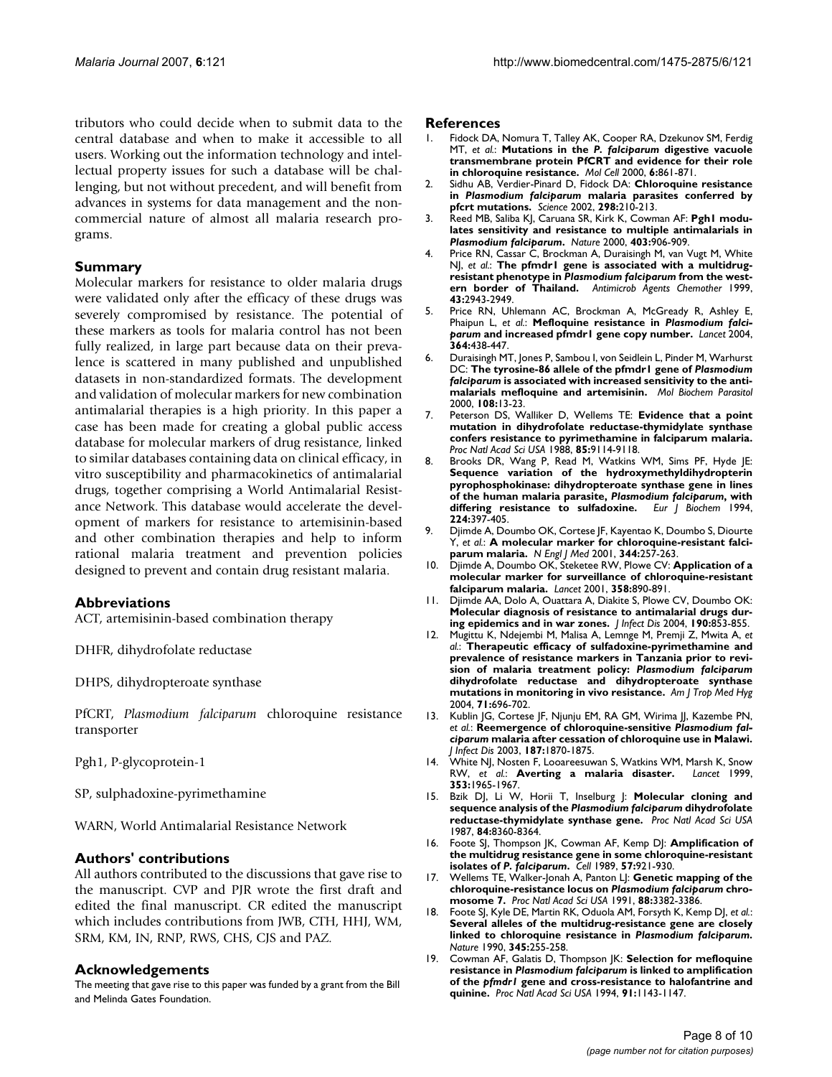tributors who could decide when to submit data to the central database and when to make it accessible to all users. Working out the information technology and intellectual property issues for such a database will be challenging, but not without precedent, and will benefit from advances in systems for data management and the noncommercial nature of almost all malaria research programs.

#### **Summary**

Molecular markers for resistance to older malaria drugs were validated only after the efficacy of these drugs was severely compromised by resistance. The potential of these markers as tools for malaria control has not been fully realized, in large part because data on their prevalence is scattered in many published and unpublished datasets in non-standardized formats. The development and validation of molecular markers for new combination antimalarial therapies is a high priority. In this paper a case has been made for creating a global public access database for molecular markers of drug resistance, linked to similar databases containing data on clinical efficacy, in vitro susceptibility and pharmacokinetics of antimalarial drugs, together comprising a World Antimalarial Resistance Network. This database would accelerate the development of markers for resistance to artemisinin-based and other combination therapies and help to inform rational malaria treatment and prevention policies designed to prevent and contain drug resistant malaria.

# **Abbreviations**

ACT, artemisinin-based combination therapy

DHFR, dihydrofolate reductase

DHPS, dihydropteroate synthase

PfCRT, *Plasmodium falciparum* chloroquine resistance transporter

Pgh1, P-glycoprotein-1

SP, sulphadoxine-pyrimethamine

WARN, World Antimalarial Resistance Network

#### **Authors' contributions**

All authors contributed to the discussions that gave rise to the manuscript. CVP and PJR wrote the first draft and edited the final manuscript. CR edited the manuscript which includes contributions from JWB, CTH, HHJ, WM, SRM, KM, IN, RNP, RWS, CHS, CJS and PAZ.

#### **Acknowledgements**

The meeting that gave rise to this paper was funded by a grant from the Bill and Melinda Gates Foundation.

#### **References**

- 1. Fidock DA, Nomura T, Talley AK, Cooper RA, Dzekunov SM, Ferdig MT, *et al.*: **Mutations in the** *P. falciparum* **[digestive vacuole](http://www.ncbi.nlm.nih.gov/entrez/query.fcgi?cmd=Retrieve&db=PubMed&dopt=Abstract&list_uids=11090624) [transmembrane protein PfCRT and evidence for their role](http://www.ncbi.nlm.nih.gov/entrez/query.fcgi?cmd=Retrieve&db=PubMed&dopt=Abstract&list_uids=11090624) [in chloroquine resistance.](http://www.ncbi.nlm.nih.gov/entrez/query.fcgi?cmd=Retrieve&db=PubMed&dopt=Abstract&list_uids=11090624)** *Mol Cell* 2000, **6:**861-871.
- 2. Sidhu AB, Verdier-Pinard D, Fidock DA: **Chloroquine resistance in** *Plasmodium falciparum* **[malaria parasites conferred by](http://www.ncbi.nlm.nih.gov/entrez/query.fcgi?cmd=Retrieve&db=PubMed&dopt=Abstract&list_uids=12364805) [pfcrt mutations.](http://www.ncbi.nlm.nih.gov/entrez/query.fcgi?cmd=Retrieve&db=PubMed&dopt=Abstract&list_uids=12364805)** *Science* 2002, **298:**210-213.
- 3. Reed MB, Saliba KJ, Caruana SR, Kirk K, Cowman AF: **Pgh1 modulates sensitivity and resistance to multiple antimalarials in** *Plasmodium falciparum***[.](http://www.ncbi.nlm.nih.gov/entrez/query.fcgi?cmd=Retrieve&db=PubMed&dopt=Abstract&list_uids=10706290)** *Nature* 2000, **403:**906-909.
- 4. Price RN, Cassar C, Brockman A, Duraisingh M, van Vugt M, White NJ, *et al.*: **The pfmdr1 gene is associated with a multidrugresistant phenotype in** *Plasmodium falciparum* **[from the west](http://www.ncbi.nlm.nih.gov/entrez/query.fcgi?cmd=Retrieve&db=PubMed&dopt=Abstract&list_uids=10582887)[ern border of Thailand.](http://www.ncbi.nlm.nih.gov/entrez/query.fcgi?cmd=Retrieve&db=PubMed&dopt=Abstract&list_uids=10582887)** *Antimicrob Agents Chemother* 1999, **43:**2943-2949.
- 5. Price RN, Uhlemann AC, Brockman A, McGready R, Ashley E, Phaipun L, *et al.*: **Mefloquine resistance in** *Plasmodium falciparum* **[and increased pfmdr1 gene copy number.](http://www.ncbi.nlm.nih.gov/entrez/query.fcgi?cmd=Retrieve&db=PubMed&dopt=Abstract&list_uids=15288742)** *Lancet* 2004, **364:**438-447.
- 6. Duraisingh MT, Jones P, Sambou I, von Seidlein L, Pinder M, Warhurst DC: **The tyrosine-86 allele of the pfmdr1 gene of** *Plasmodium falciparum* **[is associated with increased sensitivity to the anti](http://www.ncbi.nlm.nih.gov/entrez/query.fcgi?cmd=Retrieve&db=PubMed&dopt=Abstract&list_uids=10802315)[malarials mefloquine and artemisinin.](http://www.ncbi.nlm.nih.gov/entrez/query.fcgi?cmd=Retrieve&db=PubMed&dopt=Abstract&list_uids=10802315)** *Mol Biochem Parasitol* 2000, **108:**13-23.
- 7. Peterson DS, Walliker D, Wellems TE: **[Evidence that a point](http://www.ncbi.nlm.nih.gov/entrez/query.fcgi?cmd=Retrieve&db=PubMed&dopt=Abstract&list_uids=2904149) mutation in dihydrofolate reductase-thymidylate synthase [confers resistance to pyrimethamine in falciparum malaria.](http://www.ncbi.nlm.nih.gov/entrez/query.fcgi?cmd=Retrieve&db=PubMed&dopt=Abstract&list_uids=2904149)** *Proc Natl Acad Sci USA* 1988, **85:**9114-9118.
- 8. Brooks DR, Wang P, Read M, Watkins WM, Sims PF, Hyde JE: **Sequence variation of the hydroxymethyldihydropterin pyrophosphokinase: dihydropteroate synthase gene in lines of the human malaria parasite,** *Plasmodium falciparum***[, with](http://www.ncbi.nlm.nih.gov/entrez/query.fcgi?cmd=Retrieve&db=PubMed&dopt=Abstract&list_uids=7925353) [differing resistance to sulfadoxine.](http://www.ncbi.nlm.nih.gov/entrez/query.fcgi?cmd=Retrieve&db=PubMed&dopt=Abstract&list_uids=7925353)** *Eur J Biochem* 1994, **224:**397-405.
- 9. Djimde A, Doumbo OK, Cortese JF, Kayentao K, Doumbo S, Diourte Y, *et al.*: **[A molecular marker for chloroquine-resistant falci](http://www.ncbi.nlm.nih.gov/entrez/query.fcgi?cmd=Retrieve&db=PubMed&dopt=Abstract&list_uids=11172152)[parum malaria.](http://www.ncbi.nlm.nih.gov/entrez/query.fcgi?cmd=Retrieve&db=PubMed&dopt=Abstract&list_uids=11172152)** *N Engl J Med* 2001, **344:**257-263.
- 10. Djimde A, Doumbo OK, Steketee RW, Plowe CV: **[Application of a](http://www.ncbi.nlm.nih.gov/entrez/query.fcgi?cmd=Retrieve&db=PubMed&dopt=Abstract&list_uids=11567708) [molecular marker for surveillance of chloroquine-resistant](http://www.ncbi.nlm.nih.gov/entrez/query.fcgi?cmd=Retrieve&db=PubMed&dopt=Abstract&list_uids=11567708) [falciparum malaria.](http://www.ncbi.nlm.nih.gov/entrez/query.fcgi?cmd=Retrieve&db=PubMed&dopt=Abstract&list_uids=11567708)** *Lancet* 2001, **358:**890-891.
- 11. Djimde AA, Dolo A, Ouattara A, Diakite S, Plowe CV, Doumbo OK: **[Molecular diagnosis of resistance to antimalarial drugs dur](http://www.ncbi.nlm.nih.gov/entrez/query.fcgi?cmd=Retrieve&db=PubMed&dopt=Abstract&list_uids=15272415)[ing epidemics and in war zones.](http://www.ncbi.nlm.nih.gov/entrez/query.fcgi?cmd=Retrieve&db=PubMed&dopt=Abstract&list_uids=15272415)** *J Infect Dis* 2004, **190:**853-855.
- <span id="page-7-0"></span>12. Mugittu K, Ndejembi M, Malisa A, Lemnge M, Premji Z, Mwita A, *et al.*: **Therapeutic efficacy of sulfadoxine-pyrimethamine and prevalence of resistance markers in Tanzania prior to revision of malaria treatment policy:** *Plasmodium falciparum* **[dihydrofolate reductase and dihydropteroate synthase](http://www.ncbi.nlm.nih.gov/entrez/query.fcgi?cmd=Retrieve&db=PubMed&dopt=Abstract&list_uids=15642957) [mutations in monitoring in vivo resistance.](http://www.ncbi.nlm.nih.gov/entrez/query.fcgi?cmd=Retrieve&db=PubMed&dopt=Abstract&list_uids=15642957)** *Am J Trop Med Hyg* 2004, **71:**696-702.
- 13. Kublin JG, Cortese JF, Njunju EM, RA GM, Wirima JJ, Kazembe PN, *et al.*: **Reemergence of chloroquine-sensitive** *Plasmodium falciparum* **[malaria after cessation of chloroquine use in Malawi.](http://www.ncbi.nlm.nih.gov/entrez/query.fcgi?cmd=Retrieve&db=PubMed&dopt=Abstract&list_uids=12792863)** *J Infect Dis* 2003, **187:**1870-1875.
- 14. White NJ, Nosten F, Looareesuwan S, Watkins WM, Marsh K, Snow RW, *et al.*: **[Averting a malaria disaster.](http://www.ncbi.nlm.nih.gov/entrez/query.fcgi?cmd=Retrieve&db=PubMed&dopt=Abstract&list_uids=10371589)** *Lancet* 1999, **353:**1965-1967.
- 15. Bzik DJ, Li W, Horii T, Inselburg J: **Molecular cloning and sequence analysis of the** *Plasmodium falciparum* **[dihydrofolate](http://www.ncbi.nlm.nih.gov/entrez/query.fcgi?cmd=Retrieve&db=PubMed&dopt=Abstract&list_uids=2825189) [reductase-thymidylate synthase gene.](http://www.ncbi.nlm.nih.gov/entrez/query.fcgi?cmd=Retrieve&db=PubMed&dopt=Abstract&list_uids=2825189)** *Proc Natl Acad Sci USA* 1987, **84:**8360-8364.
- 16. Foote SJ, Thompson JK, Cowman AF, Kemp DJ: **Amplification of the multidrug resistance gene in some chloroquine-resistant isolates of** *P. falciparum***[.](http://www.ncbi.nlm.nih.gov/entrez/query.fcgi?cmd=Retrieve&db=PubMed&dopt=Abstract&list_uids=2701941)** *Cell* 1989, **57:**921-930.
- 17. Wellems TE, Walker-Jonah A, Panton LJ: **Genetic mapping of the chloroquine-resistance locus on** *Plasmodium falciparum* **[chro](http://www.ncbi.nlm.nih.gov/entrez/query.fcgi?cmd=Retrieve&db=PubMed&dopt=Abstract&list_uids=1673031)[mosome 7.](http://www.ncbi.nlm.nih.gov/entrez/query.fcgi?cmd=Retrieve&db=PubMed&dopt=Abstract&list_uids=1673031)** *Proc Natl Acad Sci USA* 1991, **88:**3382-3386.
- 18. Foote SJ, Kyle DE, Martin RK, Oduola AM, Forsyth K, Kemp DJ, *et al.*: **Several alleles of the multidrug-resistance gene are closely linked to chloroquine resistance in** *Plasmodium falciparum***[.](http://www.ncbi.nlm.nih.gov/entrez/query.fcgi?cmd=Retrieve&db=PubMed&dopt=Abstract&list_uids=2185424)** *Nature* 1990, **345:**255-258.
- 19. Cowman AF, Galatis D, Thompson JK: **Selection for mefloquine resistance in** *Plasmodium falciparum* **is linked to amplification of the** *pfmdr1* **[gene and cross-resistance to halofantrine and](http://www.ncbi.nlm.nih.gov/entrez/query.fcgi?cmd=Retrieve&db=PubMed&dopt=Abstract&list_uids=8302844) [quinine.](http://www.ncbi.nlm.nih.gov/entrez/query.fcgi?cmd=Retrieve&db=PubMed&dopt=Abstract&list_uids=8302844)** *Proc Natl Acad Sci USA* 1994, **91:**1143-1147.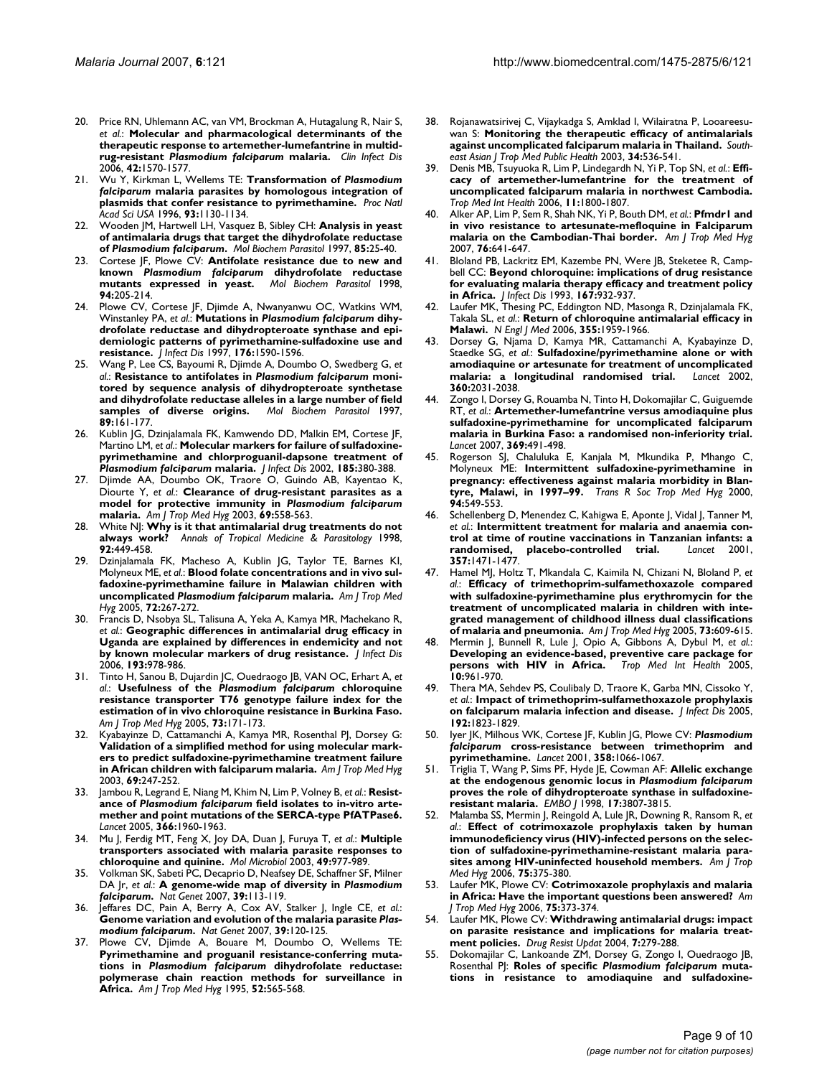- 20. Price RN, Uhlemann AC, van VM, Brockman A, Hutagalung R, Nair S, *et al.*: **Molecular and pharmacological determinants of the therapeutic response to artemether-lumefantrine in multidrug-resistant** *Plasmodium falciparum* **[malaria.](http://www.ncbi.nlm.nih.gov/entrez/query.fcgi?cmd=Retrieve&db=PubMed&dopt=Abstract&list_uids=16652314)** *Clin Infect Dis* 2006, **42:**1570-1577.
- 21. Wu Y, Kirkman L, Wellems TE: **Transformation of** *Plasmodium falciparum* **[malaria parasites by homologous integration of](http://www.ncbi.nlm.nih.gov/entrez/query.fcgi?cmd=Retrieve&db=PubMed&dopt=Abstract&list_uids=8577727) [plasmids that confer resistance to pyrimethamine.](http://www.ncbi.nlm.nih.gov/entrez/query.fcgi?cmd=Retrieve&db=PubMed&dopt=Abstract&list_uids=8577727)** *Proc Natl Acad Sci USA* 1996, **93:**1130-1134.
- 22. Wooden JM, Hartwell LH, Vasquez B, Sibley CH: **Analysis in yeast of antimalaria drugs that target the dihydrofolate reductase of** *Plasmodium falciparum***[.](http://www.ncbi.nlm.nih.gov/entrez/query.fcgi?cmd=Retrieve&db=PubMed&dopt=Abstract&list_uids=9108546)** *Mol Biochem Parasitol* 1997, **85:**25-40.
- 23. Cortese JF, Plowe CV: **Antifolate resistance due to new and known** *Plasmodium falciparum* **[dihydrofolate reductase](http://www.ncbi.nlm.nih.gov/entrez/query.fcgi?cmd=Retrieve&db=PubMed&dopt=Abstract&list_uids=9747971) [mutants expressed in yeast.](http://www.ncbi.nlm.nih.gov/entrez/query.fcgi?cmd=Retrieve&db=PubMed&dopt=Abstract&list_uids=9747971)** *Mol Biochem Parasitol* 1998, **94:**205-214.
- <span id="page-8-0"></span>24. Plowe CV, Cortese JF, Djimde A, Nwanyanwu OC, Watkins WM, Winstanley PA, *et al.*: **Mutations in** *Plasmodium falciparum* **[dihy](http://www.ncbi.nlm.nih.gov/entrez/query.fcgi?cmd=Retrieve&db=PubMed&dopt=Abstract&list_uids=9395372)drofolate reductase and dihydropteroate synthase and epi[demiologic patterns of pyrimethamine-sulfadoxine use and](http://www.ncbi.nlm.nih.gov/entrez/query.fcgi?cmd=Retrieve&db=PubMed&dopt=Abstract&list_uids=9395372) [resistance.](http://www.ncbi.nlm.nih.gov/entrez/query.fcgi?cmd=Retrieve&db=PubMed&dopt=Abstract&list_uids=9395372)** *J Infect Dis* 1997, **176:**1590-1596.
- 25. Wang P, Lee CS, Bayoumi R, Djimde A, Doumbo O, Swedberg G, *et al.*: **Resistance to antifolates in** *Plasmodium falciparum* **[moni](http://www.ncbi.nlm.nih.gov/entrez/query.fcgi?cmd=Retrieve&db=PubMed&dopt=Abstract&list_uids=9364963)tored by sequence analysis of dihydropteroate synthetase [and dihydrofolate reductase alleles in a large number of field](http://www.ncbi.nlm.nih.gov/entrez/query.fcgi?cmd=Retrieve&db=PubMed&dopt=Abstract&list_uids=9364963) [samples of diverse origins.](http://www.ncbi.nlm.nih.gov/entrez/query.fcgi?cmd=Retrieve&db=PubMed&dopt=Abstract&list_uids=9364963)** *Mol Biochem Parasitol* 1997, **89:**161-177.
- 26. Kublin JG, Dzinjalamala FK, Kamwendo DD, Malkin EM, Cortese JF, Martino LM, *et al.*: **Molecular markers for failure of sulfadoxinepyrimethamine and chlorproguanil-dapsone treatment of** *Plasmodium falciparum* **[malaria.](http://www.ncbi.nlm.nih.gov/entrez/query.fcgi?cmd=Retrieve&db=PubMed&dopt=Abstract&list_uids=11807721)** *J Infect Dis* 2002, **185:**380-388.
- <span id="page-8-1"></span>27. Djimde AA, Doumbo OK, Traore O, Guindo AB, Kayentao K, Diourte Y, *et al.*: **Clearance of drug-resistant parasites as a model for protective immunity in** *Plasmodium falciparum* **[malaria.](http://www.ncbi.nlm.nih.gov/entrez/query.fcgi?cmd=Retrieve&db=PubMed&dopt=Abstract&list_uids=14695097)** *Am J Trop Med Hyg* 2003, **69:**558-563.
- White NJ: Why is it that antimalarial drug treatments do not **always work?** *Annals of Tropical Medicine & Parasitology* 1998, **92:**449-458.
- <span id="page-8-2"></span>29. Dzinjalamala FK, Macheso A, Kublin JG, Taylor TE, Barnes KI, Molyneux ME, *et al.*: **Blood folate concentrations and in vivo sulfadoxine-pyrimethamine failure in Malawian children with uncomplicated** *Plasmodium falciparum* **[malaria.](http://www.ncbi.nlm.nih.gov/entrez/query.fcgi?cmd=Retrieve&db=PubMed&dopt=Abstract&list_uids=15772319)** *Am J Trop Med Hyg* 2005, **72:**267-272.
- 30. Francis D, Nsobya SL, Talisuna A, Yeka A, Kamya MR, Machekano R, *et al.*: **[Geographic differences in antimalarial drug efficacy in](http://www.ncbi.nlm.nih.gov/entrez/query.fcgi?cmd=Retrieve&db=PubMed&dopt=Abstract&list_uids=16518760) [Uganda are explained by differences in endemicity and not](http://www.ncbi.nlm.nih.gov/entrez/query.fcgi?cmd=Retrieve&db=PubMed&dopt=Abstract&list_uids=16518760) [by known molecular markers of drug resistance.](http://www.ncbi.nlm.nih.gov/entrez/query.fcgi?cmd=Retrieve&db=PubMed&dopt=Abstract&list_uids=16518760)** *J Infect Dis* 2006, **193:**978-986.
- <span id="page-8-3"></span>31. Tinto H, Sanou B, Dujardin JC, Ouedraogo JB, VAN OC, Erhart A, *et al.*: **Usefulness of the** *Plasmodium falciparum* **[chloroquine](http://www.ncbi.nlm.nih.gov/entrez/query.fcgi?cmd=Retrieve&db=PubMed&dopt=Abstract&list_uids=16014853) resistance transporter T76 genotype failure index for the [estimation of in vivo chloroquine resistance in Burkina Faso.](http://www.ncbi.nlm.nih.gov/entrez/query.fcgi?cmd=Retrieve&db=PubMed&dopt=Abstract&list_uids=16014853)** *Am J Trop Med Hyg* 2005, **73:**171-173.
- 32. Kyabayinze D, Cattamanchi A, Kamya MR, Rosenthal PJ, Dorsey G: **Validation of a simplified method for using molecular mark[ers to predict sulfadoxine-pyrimethamine treatment failure](http://www.ncbi.nlm.nih.gov/entrez/query.fcgi?cmd=Retrieve&db=PubMed&dopt=Abstract&list_uids=14628939) [in African children with falciparum malaria.](http://www.ncbi.nlm.nih.gov/entrez/query.fcgi?cmd=Retrieve&db=PubMed&dopt=Abstract&list_uids=14628939)** *Am J Trop Med Hyg* 2003, **69:**247-252.
- 33. Jambou R, Legrand E, Niang M, Khim N, Lim P, Volney B, *et al.*: **Resistance of** *Plasmodium falciparum* **[field isolates to in-vitro arte](http://www.ncbi.nlm.nih.gov/entrez/query.fcgi?cmd=Retrieve&db=PubMed&dopt=Abstract&list_uids=16325698)[mether and point mutations of the SERCA-type PfATPase6.](http://www.ncbi.nlm.nih.gov/entrez/query.fcgi?cmd=Retrieve&db=PubMed&dopt=Abstract&list_uids=16325698)** *Lancet* 2005, **366:**1960-1963.
- 34. Mu J, Ferdig MT, Feng X, Joy DA, Duan J, Furuya T, *et al.*: **[Multiple](http://www.ncbi.nlm.nih.gov/entrez/query.fcgi?cmd=Retrieve&db=PubMed&dopt=Abstract&list_uids=12890022) [transporters associated with malaria parasite responses to](http://www.ncbi.nlm.nih.gov/entrez/query.fcgi?cmd=Retrieve&db=PubMed&dopt=Abstract&list_uids=12890022) [chloroquine and quinine.](http://www.ncbi.nlm.nih.gov/entrez/query.fcgi?cmd=Retrieve&db=PubMed&dopt=Abstract&list_uids=12890022)** *Mol Microbiol* 2003, **49:**977-989.
- 35. Volkman SK, Sabeti PC, Decaprio D, Neafsey DE, Schaffner SF, Milner DA Jr, *et al.*: **A genome-wide map of diversity in** *Plasmodium falciparum***[.](http://www.ncbi.nlm.nih.gov/entrez/query.fcgi?cmd=Retrieve&db=PubMed&dopt=Abstract&list_uids=17159979)** *Nat Genet* 2007, **39:**113-119.
- 36. Jeffares DC, Pain A, Berry A, Cox AV, Stalker J, Ingle CE, *et al.*: **Genome variation and evolution of the malaria parasite** *Plasmodium falciparum***[.](http://www.ncbi.nlm.nih.gov/entrez/query.fcgi?cmd=Retrieve&db=PubMed&dopt=Abstract&list_uids=17159978)** *Nat Genet* 2007, **39:**120-125.
- <span id="page-8-4"></span>37. Plowe CV, Djimde A, Bouare M, Doumbo O, Wellems TE: **Pyrimethamine and proguanil resistance-conferring mutations in** *Plasmodium falciparum* **[dihydrofolate reductase:](http://www.ncbi.nlm.nih.gov/entrez/query.fcgi?cmd=Retrieve&db=PubMed&dopt=Abstract&list_uids=7611566) [polymerase chain reaction methods for surveillance in](http://www.ncbi.nlm.nih.gov/entrez/query.fcgi?cmd=Retrieve&db=PubMed&dopt=Abstract&list_uids=7611566) [Africa.](http://www.ncbi.nlm.nih.gov/entrez/query.fcgi?cmd=Retrieve&db=PubMed&dopt=Abstract&list_uids=7611566)** *Am J Trop Med Hyg* 1995, **52:**565-568.
- 38. Rojanawatsirivej C, Vijaykadga S, Amklad I, Wilairatna P, Looareesuwan S: **[Monitoring the therapeutic efficacy of antimalarials](http://www.ncbi.nlm.nih.gov/entrez/query.fcgi?cmd=Retrieve&db=PubMed&dopt=Abstract&list_uids=15115123) [against uncomplicated falciparum malaria in Thailand.](http://www.ncbi.nlm.nih.gov/entrez/query.fcgi?cmd=Retrieve&db=PubMed&dopt=Abstract&list_uids=15115123)** *Southeast Asian J Trop Med Public Health* 2003, **34:**536-541.
- 39. Denis MB, Tsuyuoka R, Lim P, Lindegardh N, Yi P, Top SN, *et al.*: **[Effi](http://www.ncbi.nlm.nih.gov/entrez/query.fcgi?cmd=Retrieve&db=PubMed&dopt=Abstract&list_uids=17176344)cacy of artemether-lumefantrine for the treatment of [uncomplicated falciparum malaria in northwest Cambodia.](http://www.ncbi.nlm.nih.gov/entrez/query.fcgi?cmd=Retrieve&db=PubMed&dopt=Abstract&list_uids=17176344)** *Trop Med Int Health* 2006, **11:**1800-1807.
- 40. Alker AP, Lim P, Sem R, Shah NK, Yi P, Bouth DM, *et al.*: **[Pfmdr1 and](http://www.ncbi.nlm.nih.gov/entrez/query.fcgi?cmd=Retrieve&db=PubMed&dopt=Abstract&list_uids=17426163) [in vivo resistance to artesunate-mefloquine in Falciparum](http://www.ncbi.nlm.nih.gov/entrez/query.fcgi?cmd=Retrieve&db=PubMed&dopt=Abstract&list_uids=17426163) [malaria on the Cambodian-Thai border.](http://www.ncbi.nlm.nih.gov/entrez/query.fcgi?cmd=Retrieve&db=PubMed&dopt=Abstract&list_uids=17426163)** *Am J Trop Med Hyg* 2007, **76:**641-647.
- 41. Bloland PB, Lackritz EM, Kazembe PN, Were JB, Steketee R, Campbell CC: **[Beyond chloroquine: implications of drug resistance](http://www.ncbi.nlm.nih.gov/entrez/query.fcgi?cmd=Retrieve&db=PubMed&dopt=Abstract&list_uids=8450258) [for evaluating malaria therapy efficacy and treatment policy](http://www.ncbi.nlm.nih.gov/entrez/query.fcgi?cmd=Retrieve&db=PubMed&dopt=Abstract&list_uids=8450258) [in Africa.](http://www.ncbi.nlm.nih.gov/entrez/query.fcgi?cmd=Retrieve&db=PubMed&dopt=Abstract&list_uids=8450258)** *J Infect Dis* 1993, **167:**932-937.
- Laufer MK, Thesing PC, Eddington ND, Masonga R, Dzinjalamala FK, Takala SL, *et al.*: **[Return of chloroquine antimalarial efficacy in](http://www.ncbi.nlm.nih.gov/entrez/query.fcgi?cmd=Retrieve&db=PubMed&dopt=Abstract&list_uids=17093247) [Malawi.](http://www.ncbi.nlm.nih.gov/entrez/query.fcgi?cmd=Retrieve&db=PubMed&dopt=Abstract&list_uids=17093247)** *N Engl J Med* 2006, **355:**1959-1966.
- 43. Dorsey G, Njama D, Kamya MR, Cattamanchi A, Kyabayinze D, Staedke SG, *et al.*: **[Sulfadoxine/pyrimethamine alone or with](http://www.ncbi.nlm.nih.gov/entrez/query.fcgi?cmd=Retrieve&db=PubMed&dopt=Abstract&list_uids=12504399) [amodiaquine or artesunate for treatment of uncomplicated](http://www.ncbi.nlm.nih.gov/entrez/query.fcgi?cmd=Retrieve&db=PubMed&dopt=Abstract&list_uids=12504399) [malaria: a longitudinal randomised trial.](http://www.ncbi.nlm.nih.gov/entrez/query.fcgi?cmd=Retrieve&db=PubMed&dopt=Abstract&list_uids=12504399)** *Lancet* 2002, **360:**2031-2038.
- 44. Zongo I, Dorsey G, Rouamba N, Tinto H, Dokomajilar C, Guiguemde RT, *et al.*: **[Artemether-lumefantrine versus amodiaquine plus](http://www.ncbi.nlm.nih.gov/entrez/query.fcgi?cmd=Retrieve&db=PubMed&dopt=Abstract&list_uids=17292769) sulfadoxine-pyrimethamine for uncomplicated falciparum [malaria in Burkina Faso: a randomised non-inferiority trial.](http://www.ncbi.nlm.nih.gov/entrez/query.fcgi?cmd=Retrieve&db=PubMed&dopt=Abstract&list_uids=17292769)** *Lancet* 2007, **369:**491-498.
- 45. Rogerson SJ, Chaluluka E, Kanjala M, Mkundika P, Mhango C, Molyneux ME: **[Intermittent sulfadoxine-pyrimethamine in](http://www.ncbi.nlm.nih.gov/entrez/query.fcgi?cmd=Retrieve&db=PubMed&dopt=Abstract&list_uids=11132387) [pregnancy: effectiveness against malaria morbidity in Blan](http://www.ncbi.nlm.nih.gov/entrez/query.fcgi?cmd=Retrieve&db=PubMed&dopt=Abstract&list_uids=11132387)[tyre, Malawi, in 1997–99.](http://www.ncbi.nlm.nih.gov/entrez/query.fcgi?cmd=Retrieve&db=PubMed&dopt=Abstract&list_uids=11132387)** *Trans R Soc Trop Med Hyg* 2000, **94:**549-553.
- 46. Schellenberg D, Menendez C, Kahigwa E, Aponte J, Vidal J, Tanner M, *et al.*: **[Intermittent treatment for malaria and anaemia con](http://www.ncbi.nlm.nih.gov/entrez/query.fcgi?cmd=Retrieve&db=PubMed&dopt=Abstract&list_uids=11377597)[trol at time of routine vaccinations in Tanzanian infants: a](http://www.ncbi.nlm.nih.gov/entrez/query.fcgi?cmd=Retrieve&db=PubMed&dopt=Abstract&list_uids=11377597) [randomised, placebo-controlled trial.](http://www.ncbi.nlm.nih.gov/entrez/query.fcgi?cmd=Retrieve&db=PubMed&dopt=Abstract&list_uids=11377597)** *Lancet* 2001, **357:**1471-1477.
- 47. Hamel MJ, Holtz T, Mkandala C, Kaimila N, Chizani N, Bloland P, *et al.*: **[Efficacy of trimethoprim-sulfamethoxazole compared](http://www.ncbi.nlm.nih.gov/entrez/query.fcgi?cmd=Retrieve&db=PubMed&dopt=Abstract&list_uids=16172491) with sulfadoxine-pyrimethamine plus erythromycin for the [treatment of uncomplicated malaria in children with inte](http://www.ncbi.nlm.nih.gov/entrez/query.fcgi?cmd=Retrieve&db=PubMed&dopt=Abstract&list_uids=16172491)grated management of childhood illness dual classifications [of malaria and pneumonia.](http://www.ncbi.nlm.nih.gov/entrez/query.fcgi?cmd=Retrieve&db=PubMed&dopt=Abstract&list_uids=16172491)** *Am J Trop Med Hyg* 2005, **73:**609-615.
- 48. Mermin J, Bunnell R, Lule J, Opio A, Gibbons A, Dybul M, *et al.*: **[Developing an evidence-based, preventive care package for](http://www.ncbi.nlm.nih.gov/entrez/query.fcgi?cmd=Retrieve&db=PubMed&dopt=Abstract&list_uids=16185230) [persons with HIV in Africa.](http://www.ncbi.nlm.nih.gov/entrez/query.fcgi?cmd=Retrieve&db=PubMed&dopt=Abstract&list_uids=16185230)** *Trop Med Int Health* 2005, **10:**961-970.
- 49. Thera MA, Sehdev PS, Coulibaly D, Traore K, Garba MN, Cissoko Y, *et al.*: **[Impact of trimethoprim-sulfamethoxazole prophylaxis](http://www.ncbi.nlm.nih.gov/entrez/query.fcgi?cmd=Retrieve&db=PubMed&dopt=Abstract&list_uids=16235184) [on falciparum malaria infection and disease.](http://www.ncbi.nlm.nih.gov/entrez/query.fcgi?cmd=Retrieve&db=PubMed&dopt=Abstract&list_uids=16235184)** *J Infect Dis* 2005, **192:**1823-1829.
- 50. Iyer JK, Milhous WK, Cortese JF, Kublin JG, Plowe CV: *Plasmodium falciparum* **[cross-resistance between trimethoprim and](http://www.ncbi.nlm.nih.gov/entrez/query.fcgi?cmd=Retrieve&db=PubMed&dopt=Abstract&list_uids=11589941) [pyrimethamine.](http://www.ncbi.nlm.nih.gov/entrez/query.fcgi?cmd=Retrieve&db=PubMed&dopt=Abstract&list_uids=11589941)** *Lancet* 2001, **358:**1066-1067.
- 51. Triglia T, Wang P, Sims PF, Hyde JE, Cowman AF: **Allelic exchange at the endogenous genomic locus in** *Plasmodium falciparum* **[proves the role of dihydropteroate synthase in sulfadoxine](http://www.ncbi.nlm.nih.gov/entrez/query.fcgi?cmd=Retrieve&db=PubMed&dopt=Abstract&list_uids=9669998)[resistant malaria.](http://www.ncbi.nlm.nih.gov/entrez/query.fcgi?cmd=Retrieve&db=PubMed&dopt=Abstract&list_uids=9669998)** *EMBO J* 1998, **17:**3807-3815.
- 52. Malamba SS, Mermin J, Reingold A, Lule JR, Downing R, Ransom R, *et al.*: **[Effect of cotrimoxazole prophylaxis taken by human](http://www.ncbi.nlm.nih.gov/entrez/query.fcgi?cmd=Retrieve&db=PubMed&dopt=Abstract&list_uids=16968909) immunodeficiency virus (HIV)-infected persons on the selec[tion of sulfadoxine-pyrimethamine-resistant malaria para](http://www.ncbi.nlm.nih.gov/entrez/query.fcgi?cmd=Retrieve&db=PubMed&dopt=Abstract&list_uids=16968909)[sites among HIV-uninfected household members.](http://www.ncbi.nlm.nih.gov/entrez/query.fcgi?cmd=Retrieve&db=PubMed&dopt=Abstract&list_uids=16968909)** *Am J Trop Med Hyg* 2006, **75:**375-380.
- 53. Laufer MK, Plowe CV: **[Cotrimoxazole prophylaxis and malaria](http://www.ncbi.nlm.nih.gov/entrez/query.fcgi?cmd=Retrieve&db=PubMed&dopt=Abstract&list_uids=16968908) [in Africa: Have the important questions been answered?](http://www.ncbi.nlm.nih.gov/entrez/query.fcgi?cmd=Retrieve&db=PubMed&dopt=Abstract&list_uids=16968908)** *Am J Trop Med Hyg* 2006, **75:**373-374.
- 54. Laufer MK, Plowe CV: **[Withdrawing antimalarial drugs: impact](http://www.ncbi.nlm.nih.gov/entrez/query.fcgi?cmd=Retrieve&db=PubMed&dopt=Abstract&list_uids=15533765) [on parasite resistance and implications for malaria treat](http://www.ncbi.nlm.nih.gov/entrez/query.fcgi?cmd=Retrieve&db=PubMed&dopt=Abstract&list_uids=15533765)[ment policies.](http://www.ncbi.nlm.nih.gov/entrez/query.fcgi?cmd=Retrieve&db=PubMed&dopt=Abstract&list_uids=15533765)** *Drug Resist Updat* 2004, **7:**279-288.
- <span id="page-8-5"></span>55. Dokomajilar C, Lankoande ZM, Dorsey G, Zongo I, Ouedraogo JB, Rosenthal PJ: **Roles of specific** *Plasmodium falciparum* **[muta](http://www.ncbi.nlm.nih.gov/entrez/query.fcgi?cmd=Retrieve&db=PubMed&dopt=Abstract&list_uids=16837725)[tions in resistance to amodiaquine and sulfadoxine](http://www.ncbi.nlm.nih.gov/entrez/query.fcgi?cmd=Retrieve&db=PubMed&dopt=Abstract&list_uids=16837725)-**